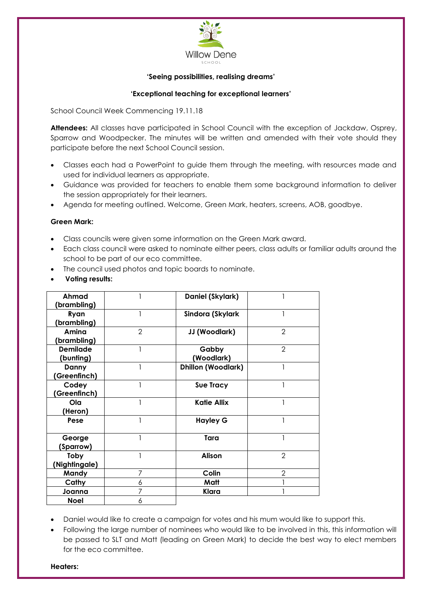

### **'Seeing possibilities, realising dreams'**

## **'Exceptional teaching for exceptional learners'**

School Council Week Commencing 19.11.18

**Attendees:** All classes have participated in School Council with the exception of Jackdaw, Osprey, Sparrow and Woodpecker. The minutes will be written and amended with their vote should they participate before the next School Council session.

- Classes each had a PowerPoint to guide them through the meeting, with resources made and used for individual learners as appropriate.
- Guidance was provided for teachers to enable them some background information to deliver the session appropriately for their learners.
- Agenda for meeting outlined. Welcome, Green Mark, heaters, screens, AOB, goodbye.

### **Green Mark:**

- Class councils were given some information on the Green Mark award.
- Each class council were asked to nominate either peers, class adults or familiar adults around the school to be part of our eco committee.
- The council used photos and topic boards to nominate.
- **Voting results:**

| Ahmad           |                | Daniel (Skylark)          |                |
|-----------------|----------------|---------------------------|----------------|
| (brambling)     |                |                           |                |
| Ryan            |                | Sindora (Skylark          |                |
| (brambling)     |                |                           |                |
| Amina           | $\overline{2}$ | JJ (Woodlark)             | $\overline{2}$ |
| (brambling)     |                |                           |                |
| <b>Demilade</b> |                | Gabby                     | $\overline{2}$ |
| (bunting)       |                | (Woodlark)                |                |
| Danny           |                | <b>Dhillon (Woodlark)</b> |                |
| (Greenfinch)    |                |                           |                |
| Codey           |                | <b>Sue Tracy</b>          |                |
| (Greenfinch)    |                |                           |                |
| Ola             |                | <b>Katie Allix</b>        |                |
| (Heron)         |                |                           |                |
| Pese            |                | <b>Hayley G</b>           |                |
|                 |                |                           |                |
| George          |                | Tara                      |                |
| (Sparrow)       |                |                           |                |
| Toby            |                | <b>Alison</b>             | $\overline{2}$ |
| (Nightingale)   |                |                           |                |
| Mandy           | 7              | Colin                     | $\overline{2}$ |
| Cathy           | 6              | Matt                      |                |
| Joanna          |                | Klara                     |                |
| <b>Noel</b>     | 6              |                           |                |

- Daniel would like to create a campaign for votes and his mum would like to support this.
- Following the large number of nominees who would like to be involved in this, this information will be passed to SLT and Matt (leading on Green Mark) to decide the best way to elect members for the eco committee.

**Heaters:**